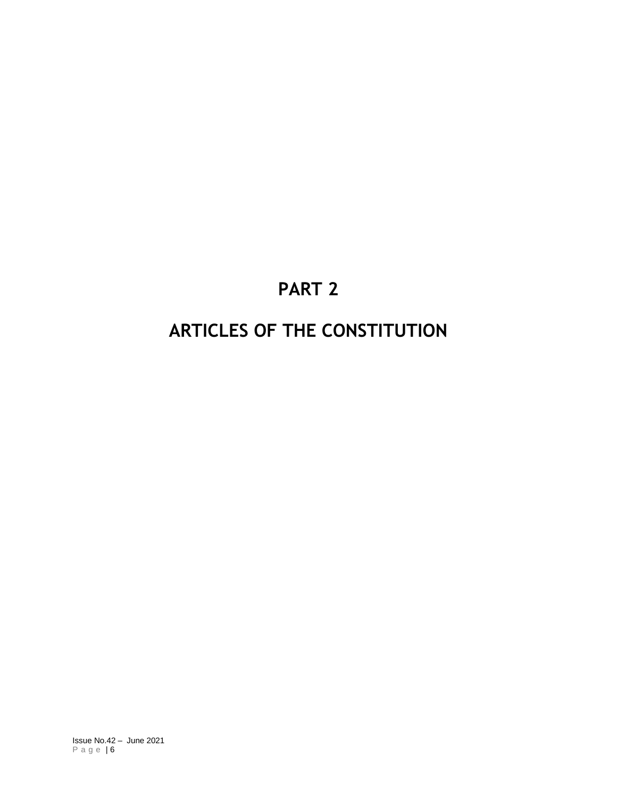# **PART 2**

# **ARTICLES OF THE CONSTITUTION**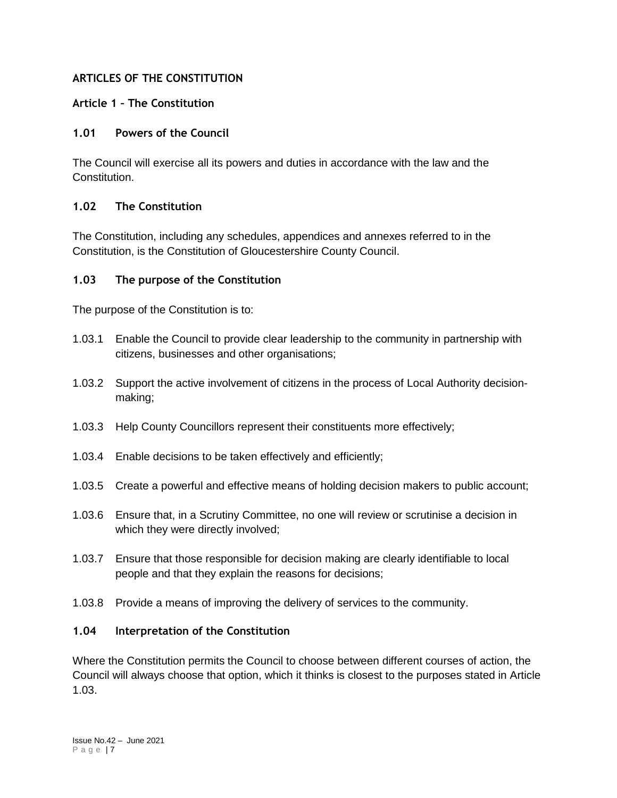## **ARTICLES OF THE CONSTITUTION**

## **Article 1 – The Constitution**

#### **1.01 Powers of the Council**

The Council will exercise all its powers and duties in accordance with the law and the Constitution.

#### **1.02 The Constitution**

The Constitution, including any schedules, appendices and annexes referred to in the Constitution, is the Constitution of Gloucestershire County Council.

#### **1.03 The purpose of the Constitution**

The purpose of the Constitution is to:

- 1.03.1 Enable the Council to provide clear leadership to the community in partnership with citizens, businesses and other organisations;
- 1.03.2 Support the active involvement of citizens in the process of Local Authority decisionmaking;
- 1.03.3 Help County Councillors represent their constituents more effectively;
- 1.03.4 Enable decisions to be taken effectively and efficiently;
- 1.03.5 Create a powerful and effective means of holding decision makers to public account;
- 1.03.6 Ensure that, in a Scrutiny Committee, no one will review or scrutinise a decision in which they were directly involved;
- 1.03.7 Ensure that those responsible for decision making are clearly identifiable to local people and that they explain the reasons for decisions;
- 1.03.8 Provide a means of improving the delivery of services to the community.

#### **1.04 Interpretation of the Constitution**

Where the Constitution permits the Council to choose between different courses of action, the Council will always choose that option, which it thinks is closest to the purposes stated in Article 1.03.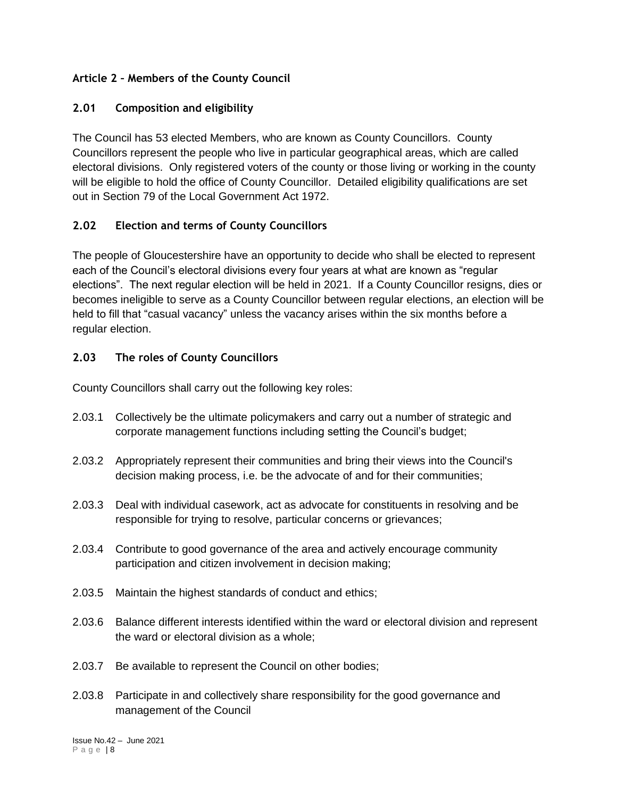# **Article 2 – Members of the County Council**

## **2.01 Composition and eligibility**

The Council has 53 elected Members, who are known as County Councillors. County Councillors represent the people who live in particular geographical areas, which are called electoral divisions. Only registered voters of the county or those living or working in the county will be eligible to hold the office of County Councillor. Detailed eligibility qualifications are set out in Section 79 of the Local Government Act 1972.

## **2.02 Election and terms of County Councillors**

The people of Gloucestershire have an opportunity to decide who shall be elected to represent each of the Council's electoral divisions every four years at what are known as "regular elections". The next regular election will be held in 2021. If a County Councillor resigns, dies or becomes ineligible to serve as a County Councillor between regular elections, an election will be held to fill that "casual vacancy" unless the vacancy arises within the six months before a regular election.

## **2.03 The roles of County Councillors**

County Councillors shall carry out the following key roles:

- 2.03.1 Collectively be the ultimate policymakers and carry out a number of strategic and corporate management functions including setting the Council's budget;
- 2.03.2 Appropriately represent their communities and bring their views into the Council's decision making process, i.e. be the advocate of and for their communities;
- 2.03.3 Deal with individual casework, act as advocate for constituents in resolving and be responsible for trying to resolve, particular concerns or grievances;
- 2.03.4 Contribute to good governance of the area and actively encourage community participation and citizen involvement in decision making;
- 2.03.5 Maintain the highest standards of conduct and ethics;
- 2.03.6 Balance different interests identified within the ward or electoral division and represent the ward or electoral division as a whole;
- 2.03.7 Be available to represent the Council on other bodies;
- 2.03.8 Participate in and collectively share responsibility for the good governance and management of the Council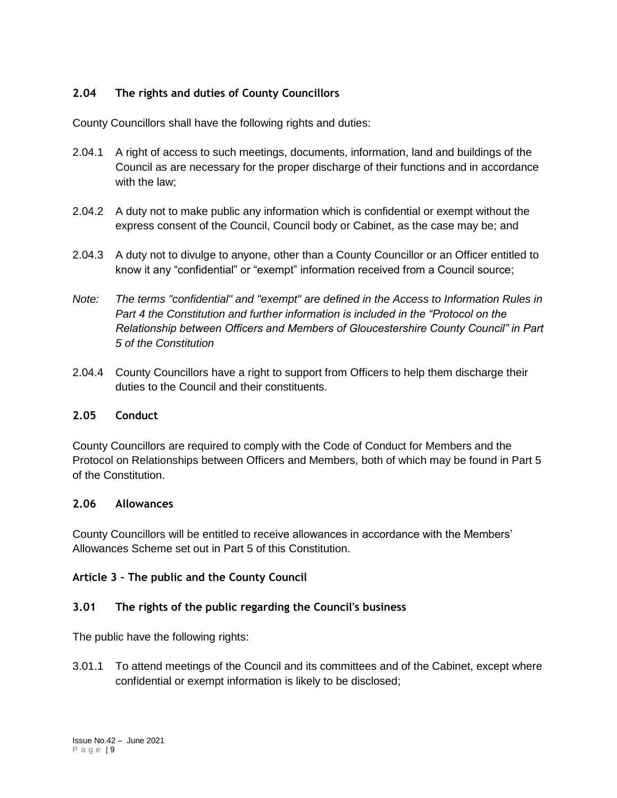# **2.04 The rights and duties of County Councillors**

County Councillors shall have the following rights and duties:

- 2.04.1 A right of access to such meetings, documents, information, land and buildings of the Council as are necessary for the proper discharge of their functions and in accordance with the law;
- 2.04.2 A duty not to make public any information which is confidential or exempt without the express consent of the Council, Council body or Cabinet, as the case may be; and
- 2.04.3 A duty not to divulge to anyone, other than a County Councillor or an Officer entitled to know it any "confidential" or "exempt" information received from a Council source;
- *Note: The terms "confidential" and "exempt" are defined in the Access to Information Rules in Part 4 the Constitution and further information is included in the "Protocol on the Relationship between Officers and Members of Gloucestershire County Council" in Part 5 of the Constitution*
- 2.04.4 County Councillors have a right to support from Officers to help them discharge their duties to the Council and their constituents.

#### **2.05 Conduct**

County Councillors are required to comply with the Code of Conduct for Members and the Protocol on Relationships between Officers and Members, both of which may be found in Part 5 of the Constitution.

#### **2.06 Allowances**

County Councillors will be entitled to receive allowances in accordance with the Members' Allowances Scheme set out in Part 5 of this Constitution.

#### **Article 3 – The public and the County Council**

#### **3.01 The rights of the public regarding the Council's business**

The public have the following rights:

3.01.1 To attend meetings of the Council and its committees and of the Cabinet, except where confidential or exempt information is likely to be disclosed;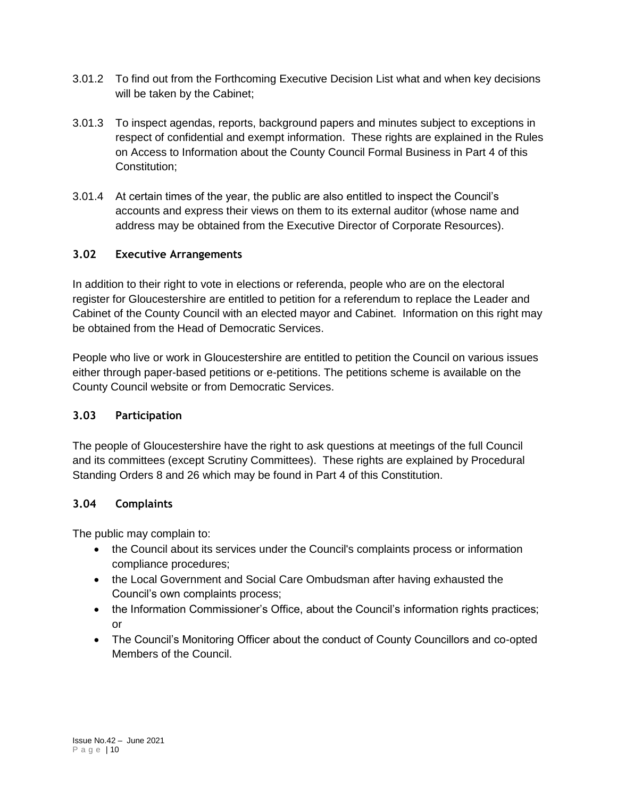- 3.01.2 To find out from the Forthcoming Executive Decision List what and when key decisions will be taken by the Cabinet;
- 3.01.3 To inspect agendas, reports, background papers and minutes subject to exceptions in respect of confidential and exempt information. These rights are explained in the Rules on Access to Information about the County Council Formal Business in Part 4 of this Constitution;
- 3.01.4 At certain times of the year, the public are also entitled to inspect the Council's accounts and express their views on them to its external auditor (whose name and address may be obtained from the Executive Director of Corporate Resources).

## **3.02 Executive Arrangements**

In addition to their right to vote in elections or referenda, people who are on the electoral register for Gloucestershire are entitled to petition for a referendum to replace the Leader and Cabinet of the County Council with an elected mayor and Cabinet. Information on this right may be obtained from the Head of Democratic Services.

People who live or work in Gloucestershire are entitled to petition the Council on various issues either through paper-based petitions or e-petitions. The petitions scheme is available on the County Council website or from Democratic Services.

#### **3.03 Participation**

The people of Gloucestershire have the right to ask questions at meetings of the full Council and its committees (except Scrutiny Committees). These rights are explained by Procedural Standing Orders 8 and 26 which may be found in Part 4 of this Constitution.

#### **3.04 Complaints**

The public may complain to:

- the Council about its services under the Council's complaints process or information compliance procedures;
- the Local Government and Social Care Ombudsman after having exhausted the Council's own complaints process;
- the Information Commissioner's Office, about the Council's information rights practices; or
- The Council's Monitoring Officer about the conduct of County Councillors and co-opted Members of the Council.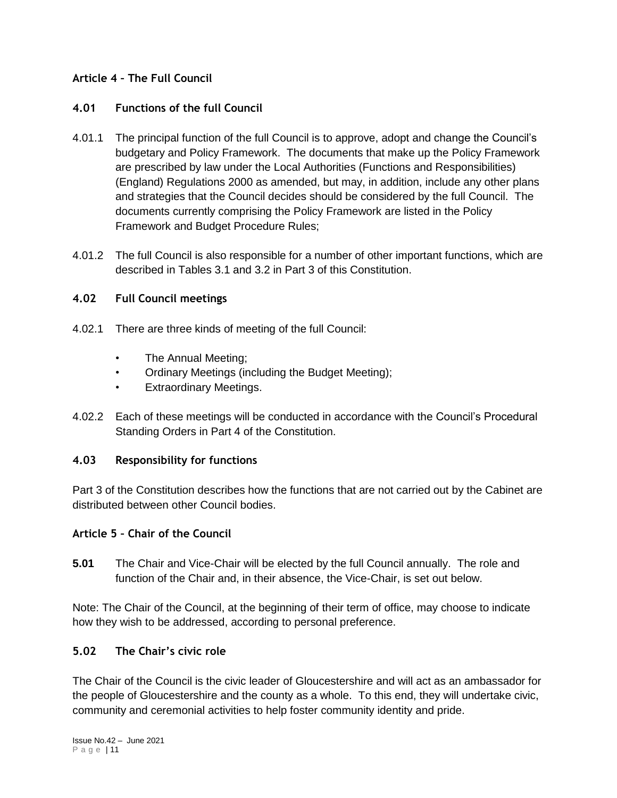## **Article 4 – The Full Council**

#### **4.01 Functions of the full Council**

- 4.01.1 The principal function of the full Council is to approve, adopt and change the Council's budgetary and Policy Framework. The documents that make up the Policy Framework are prescribed by law under the Local Authorities (Functions and Responsibilities) (England) Regulations 2000 as amended, but may, in addition, include any other plans and strategies that the Council decides should be considered by the full Council. The documents currently comprising the Policy Framework are listed in the Policy Framework and Budget Procedure Rules;
- 4.01.2 The full Council is also responsible for a number of other important functions, which are described in Tables 3.1 and 3.2 in Part 3 of this Constitution.

#### **4.02 Full Council meetings**

- 4.02.1 There are three kinds of meeting of the full Council:
	- The Annual Meeting;
	- Ordinary Meetings (including the Budget Meeting);
	- Extraordinary Meetings.
- 4.02.2 Each of these meetings will be conducted in accordance with the Council's Procedural Standing Orders in Part 4 of the Constitution.

## **4.03 Responsibility for functions**

Part 3 of the Constitution describes how the functions that are not carried out by the Cabinet are distributed between other Council bodies.

#### **Article 5 – Chair of the Council**

**5.01** The Chair and Vice-Chair will be elected by the full Council annually. The role and function of the Chair and, in their absence, the Vice-Chair, is set out below.

Note: The Chair of the Council, at the beginning of their term of office, may choose to indicate how they wish to be addressed, according to personal preference.

## **5.02 The Chair's civic role**

The Chair of the Council is the civic leader of Gloucestershire and will act as an ambassador for the people of Gloucestershire and the county as a whole. To this end, they will undertake civic, community and ceremonial activities to help foster community identity and pride.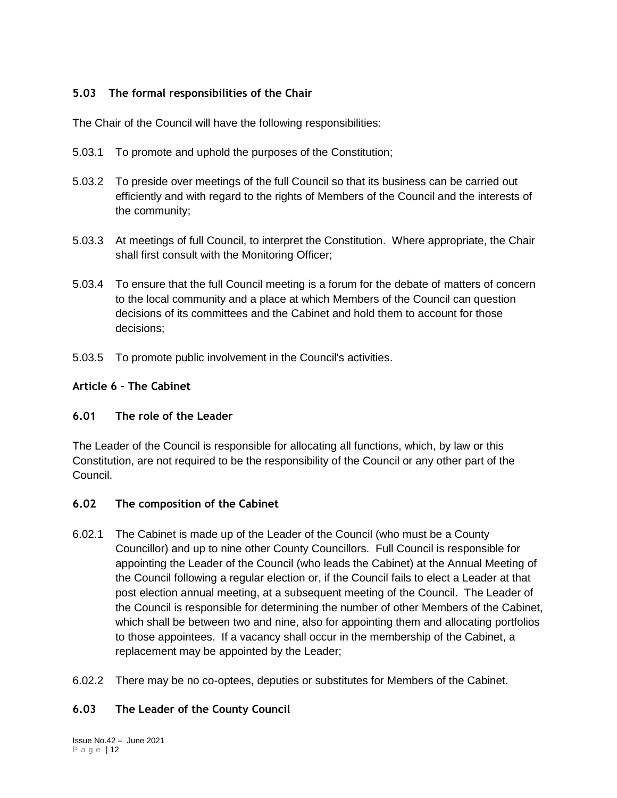# **5.03 The formal responsibilities of the Chair**

The Chair of the Council will have the following responsibilities:

- 5.03.1 To promote and uphold the purposes of the Constitution;
- 5.03.2 To preside over meetings of the full Council so that its business can be carried out efficiently and with regard to the rights of Members of the Council and the interests of the community;
- 5.03.3 At meetings of full Council, to interpret the Constitution. Where appropriate, the Chair shall first consult with the Monitoring Officer;
- 5.03.4 To ensure that the full Council meeting is a forum for the debate of matters of concern to the local community and a place at which Members of the Council can question decisions of its committees and the Cabinet and hold them to account for those decisions;
- 5.03.5 To promote public involvement in the Council's activities.

#### **Article 6 – The Cabinet**

## **6.01 The role of the Leader**

The Leader of the Council is responsible for allocating all functions, which, by law or this Constitution, are not required to be the responsibility of the Council or any other part of the Council.

## **6.02 The composition of the Cabinet**

- 6.02.1 The Cabinet is made up of the Leader of the Council (who must be a County Councillor) and up to nine other County Councillors. Full Council is responsible for appointing the Leader of the Council (who leads the Cabinet) at the Annual Meeting of the Council following a regular election or, if the Council fails to elect a Leader at that post election annual meeting, at a subsequent meeting of the Council. The Leader of the Council is responsible for determining the number of other Members of the Cabinet, which shall be between two and nine, also for appointing them and allocating portfolios to those appointees. If a vacancy shall occur in the membership of the Cabinet, a replacement may be appointed by the Leader;
- 6.02.2 There may be no co-optees, deputies or substitutes for Members of the Cabinet.

## **6.03 The Leader of the County Council**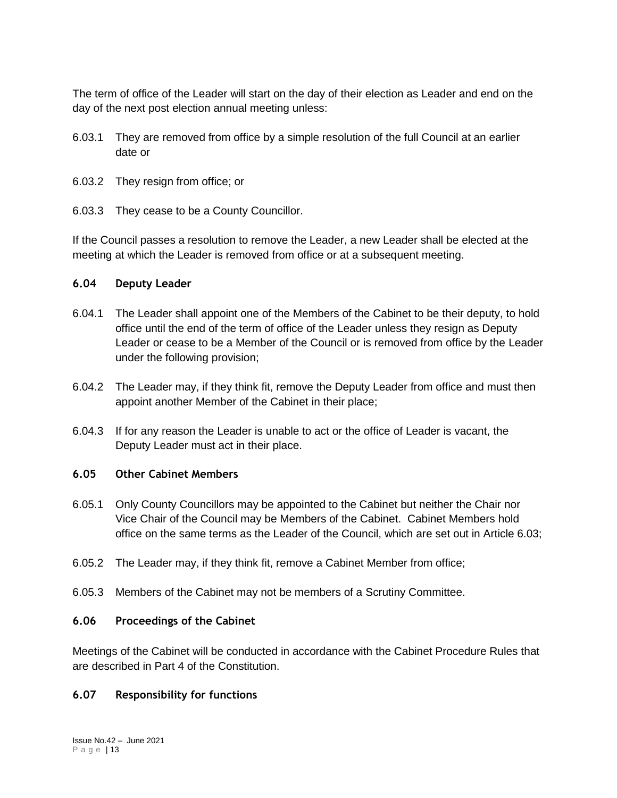The term of office of the Leader will start on the day of their election as Leader and end on the day of the next post election annual meeting unless:

- 6.03.1 They are removed from office by a simple resolution of the full Council at an earlier date or
- 6.03.2 They resign from office; or
- 6.03.3 They cease to be a County Councillor.

If the Council passes a resolution to remove the Leader, a new Leader shall be elected at the meeting at which the Leader is removed from office or at a subsequent meeting.

#### **6.04 Deputy Leader**

- 6.04.1 The Leader shall appoint one of the Members of the Cabinet to be their deputy, to hold office until the end of the term of office of the Leader unless they resign as Deputy Leader or cease to be a Member of the Council or is removed from office by the Leader under the following provision;
- 6.04.2 The Leader may, if they think fit, remove the Deputy Leader from office and must then appoint another Member of the Cabinet in their place;
- 6.04.3 If for any reason the Leader is unable to act or the office of Leader is vacant, the Deputy Leader must act in their place.

#### **6.05 Other Cabinet Members**

- 6.05.1 Only County Councillors may be appointed to the Cabinet but neither the Chair nor Vice Chair of the Council may be Members of the Cabinet. Cabinet Members hold office on the same terms as the Leader of the Council, which are set out in Article 6.03;
- 6.05.2 The Leader may, if they think fit, remove a Cabinet Member from office;
- 6.05.3 Members of the Cabinet may not be members of a Scrutiny Committee.

#### **6.06 Proceedings of the Cabinet**

Meetings of the Cabinet will be conducted in accordance with the Cabinet Procedure Rules that are described in Part 4 of the Constitution.

#### **6.07 Responsibility for functions**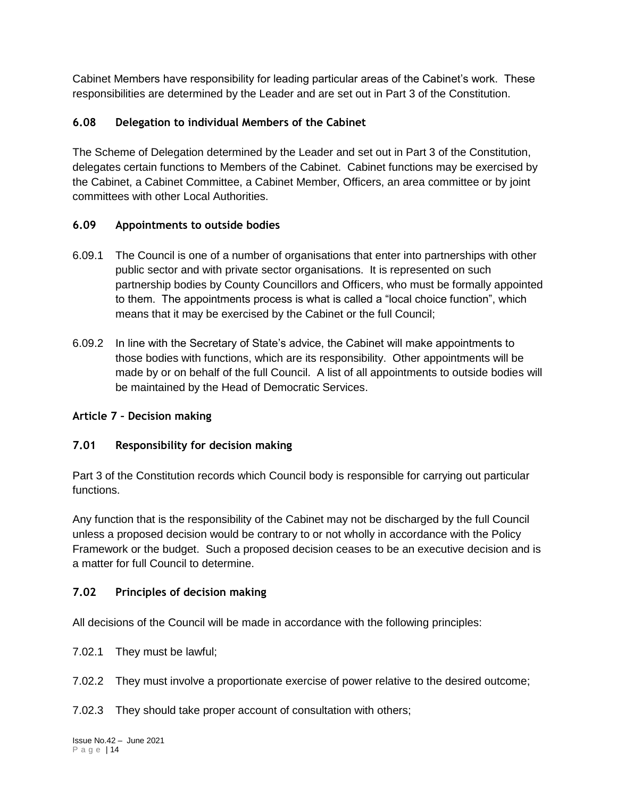Cabinet Members have responsibility for leading particular areas of the Cabinet's work. These responsibilities are determined by the Leader and are set out in Part 3 of the Constitution.

# **6.08 Delegation to individual Members of the Cabinet**

The Scheme of Delegation determined by the Leader and set out in Part 3 of the Constitution, delegates certain functions to Members of the Cabinet. Cabinet functions may be exercised by the Cabinet, a Cabinet Committee, a Cabinet Member, Officers, an area committee or by joint committees with other Local Authorities.

# **6.09 Appointments to outside bodies**

- 6.09.1 The Council is one of a number of organisations that enter into partnerships with other public sector and with private sector organisations. It is represented on such partnership bodies by County Councillors and Officers, who must be formally appointed to them. The appointments process is what is called a "local choice function", which means that it may be exercised by the Cabinet or the full Council;
- 6.09.2 In line with the Secretary of State's advice, the Cabinet will make appointments to those bodies with functions, which are its responsibility. Other appointments will be made by or on behalf of the full Council. A list of all appointments to outside bodies will be maintained by the Head of Democratic Services.

# **Article 7 – Decision making**

# **7.01 Responsibility for decision making**

Part 3 of the Constitution records which Council body is responsible for carrying out particular functions.

Any function that is the responsibility of the Cabinet may not be discharged by the full Council unless a proposed decision would be contrary to or not wholly in accordance with the Policy Framework or the budget. Such a proposed decision ceases to be an executive decision and is a matter for full Council to determine.

# **7.02 Principles of decision making**

All decisions of the Council will be made in accordance with the following principles:

- 7.02.1 They must be lawful;
- 7.02.2 They must involve a proportionate exercise of power relative to the desired outcome;

7.02.3 They should take proper account of consultation with others;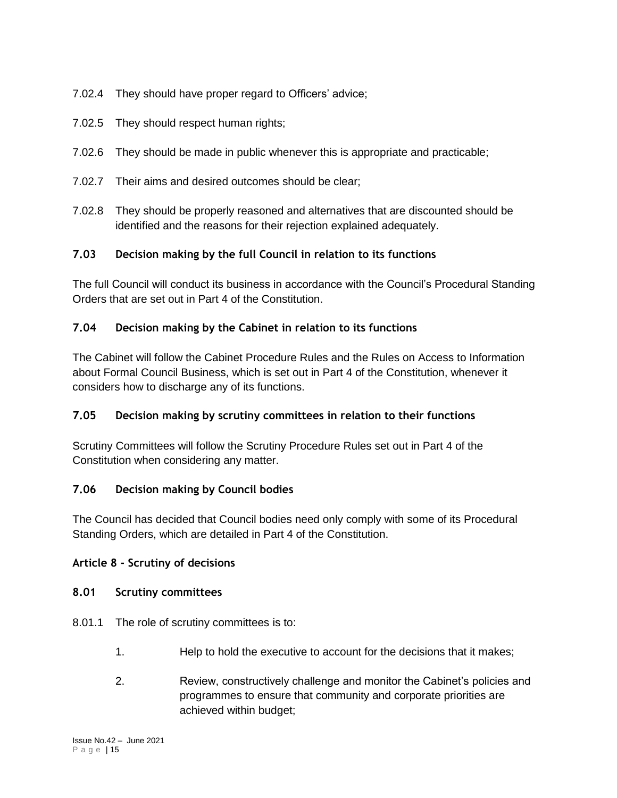- 7.02.4 They should have proper regard to Officers' advice;
- 7.02.5 They should respect human rights;
- 7.02.6 They should be made in public whenever this is appropriate and practicable;
- 7.02.7 Their aims and desired outcomes should be clear;
- 7.02.8 They should be properly reasoned and alternatives that are discounted should be identified and the reasons for their rejection explained adequately.

# **7.03 Decision making by the full Council in relation to its functions**

The full Council will conduct its business in accordance with the Council's Procedural Standing Orders that are set out in Part 4 of the Constitution.

# **7.04 Decision making by the Cabinet in relation to its functions**

The Cabinet will follow the Cabinet Procedure Rules and the Rules on Access to Information about Formal Council Business, which is set out in Part 4 of the Constitution, whenever it considers how to discharge any of its functions.

## **7.05 Decision making by scrutiny committees in relation to their functions**

Scrutiny Committees will follow the Scrutiny Procedure Rules set out in Part 4 of the Constitution when considering any matter.

## **7.06 Decision making by Council bodies**

The Council has decided that Council bodies need only comply with some of its Procedural Standing Orders, which are detailed in Part 4 of the Constitution.

## **Article 8 - Scrutiny of decisions**

## **8.01 Scrutiny committees**

- 8.01.1 The role of scrutiny committees is to:
	- 1. Help to hold the executive to account for the decisions that it makes;
	- 2. Review, constructively challenge and monitor the Cabinet's policies and programmes to ensure that community and corporate priorities are achieved within budget;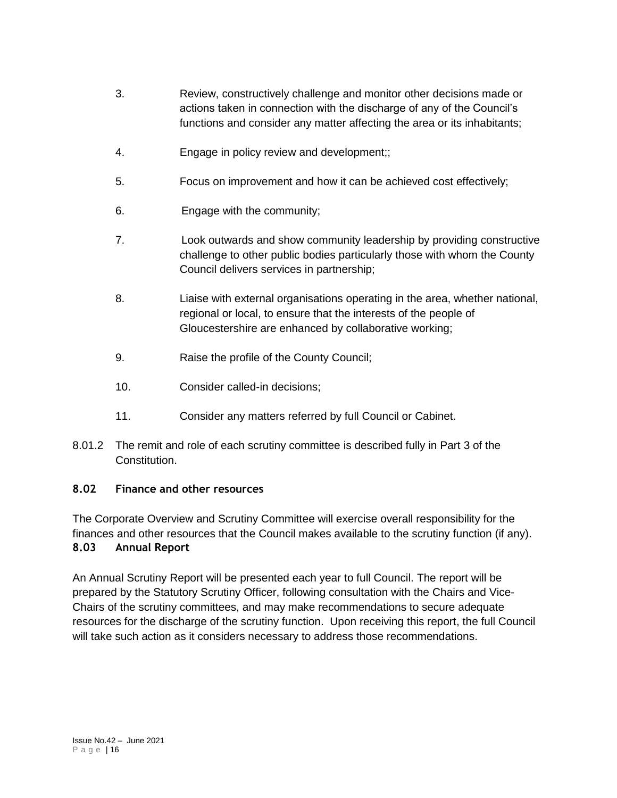- 3. Review, constructively challenge and monitor other decisions made or actions taken in connection with the discharge of any of the Council's functions and consider any matter affecting the area or its inhabitants;
- 4. Engage in policy review and development;;
- 5. Focus on improvement and how it can be achieved cost effectively;
- 6. Engage with the community;
- 7. Look outwards and show community leadership by providing constructive challenge to other public bodies particularly those with whom the County Council delivers services in partnership;
- 8. Liaise with external organisations operating in the area, whether national, regional or local, to ensure that the interests of the people of Gloucestershire are enhanced by collaborative working;
- 9. Raise the profile of the County Council;
- 10. Consider called-in decisions;
- 11. Consider any matters referred by full Council or Cabinet.
- 8.01.2 The remit and role of each scrutiny committee is described fully in Part 3 of the Constitution.

## **8.02 Finance and other resources**

The Corporate Overview and Scrutiny Committee will exercise overall responsibility for the finances and other resources that the Council makes available to the scrutiny function (if any). **8.03 Annual Report**

An Annual Scrutiny Report will be presented each year to full Council. The report will be prepared by the Statutory Scrutiny Officer, following consultation with the Chairs and Vice-Chairs of the scrutiny committees, and may make recommendations to secure adequate resources for the discharge of the scrutiny function. Upon receiving this report, the full Council will take such action as it considers necessary to address those recommendations.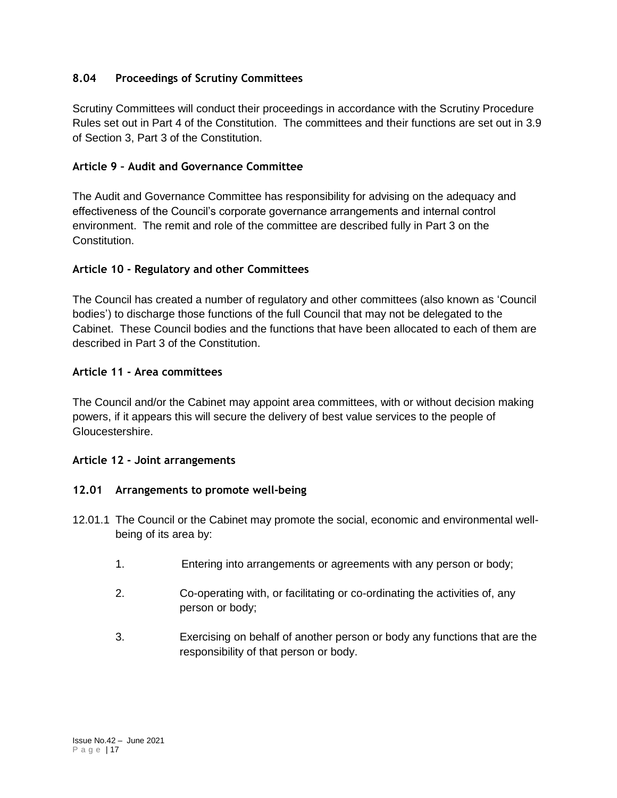## **8.04 Proceedings of Scrutiny Committees**

Scrutiny Committees will conduct their proceedings in accordance with the Scrutiny Procedure Rules set out in Part 4 of the Constitution. The committees and their functions are set out in 3.9 of Section 3, Part 3 of the Constitution.

## **Article 9 – Audit and Governance Committee**

The Audit and Governance Committee has responsibility for advising on the adequacy and effectiveness of the Council's corporate governance arrangements and internal control environment. The remit and role of the committee are described fully in Part 3 on the Constitution.

# **Article 10 - Regulatory and other Committees**

The Council has created a number of regulatory and other committees (also known as 'Council bodies') to discharge those functions of the full Council that may not be delegated to the Cabinet. These Council bodies and the functions that have been allocated to each of them are described in Part 3 of the Constitution.

## **Article 11 - Area committees**

The Council and/or the Cabinet may appoint area committees, with or without decision making powers, if it appears this will secure the delivery of best value services to the people of Gloucestershire.

## **Article 12 - Joint arrangements**

## **12.01 Arrangements to promote well-being**

- 12.01.1 The Council or the Cabinet may promote the social, economic and environmental wellbeing of its area by:
	- 1. Entering into arrangements or agreements with any person or body;
	- 2. Co-operating with, or facilitating or co-ordinating the activities of, any person or body;
	- 3. Exercising on behalf of another person or body any functions that are the responsibility of that person or body.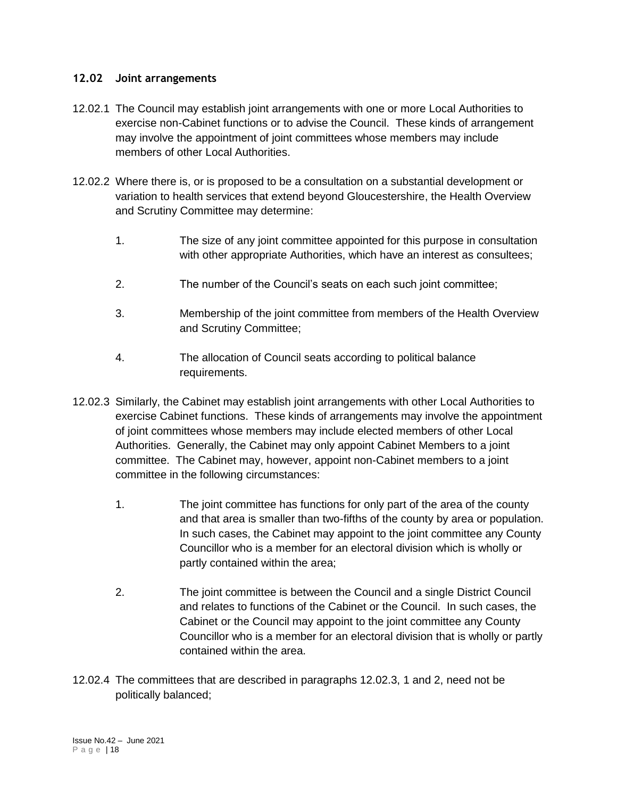#### **12.02 Joint arrangements**

- 12.02.1 The Council may establish joint arrangements with one or more Local Authorities to exercise non-Cabinet functions or to advise the Council. These kinds of arrangement may involve the appointment of joint committees whose members may include members of other Local Authorities.
- 12.02.2 Where there is, or is proposed to be a consultation on a substantial development or variation to health services that extend beyond Gloucestershire, the Health Overview and Scrutiny Committee may determine:
	- 1. The size of any joint committee appointed for this purpose in consultation with other appropriate Authorities, which have an interest as consultees;
	- 2. The number of the Council's seats on each such joint committee;
	- 3. Membership of the joint committee from members of the Health Overview and Scrutiny Committee;
	- 4. The allocation of Council seats according to political balance requirements.
- 12.02.3 Similarly, the Cabinet may establish joint arrangements with other Local Authorities to exercise Cabinet functions. These kinds of arrangements may involve the appointment of joint committees whose members may include elected members of other Local Authorities. Generally, the Cabinet may only appoint Cabinet Members to a joint committee. The Cabinet may, however, appoint non-Cabinet members to a joint committee in the following circumstances:
	- 1. The joint committee has functions for only part of the area of the county and that area is smaller than two-fifths of the county by area or population. In such cases, the Cabinet may appoint to the joint committee any County Councillor who is a member for an electoral division which is wholly or partly contained within the area;
	- 2. The joint committee is between the Council and a single District Council and relates to functions of the Cabinet or the Council. In such cases, the Cabinet or the Council may appoint to the joint committee any County Councillor who is a member for an electoral division that is wholly or partly contained within the area.
- 12.02.4 The committees that are described in paragraphs 12.02.3, 1 and 2, need not be politically balanced;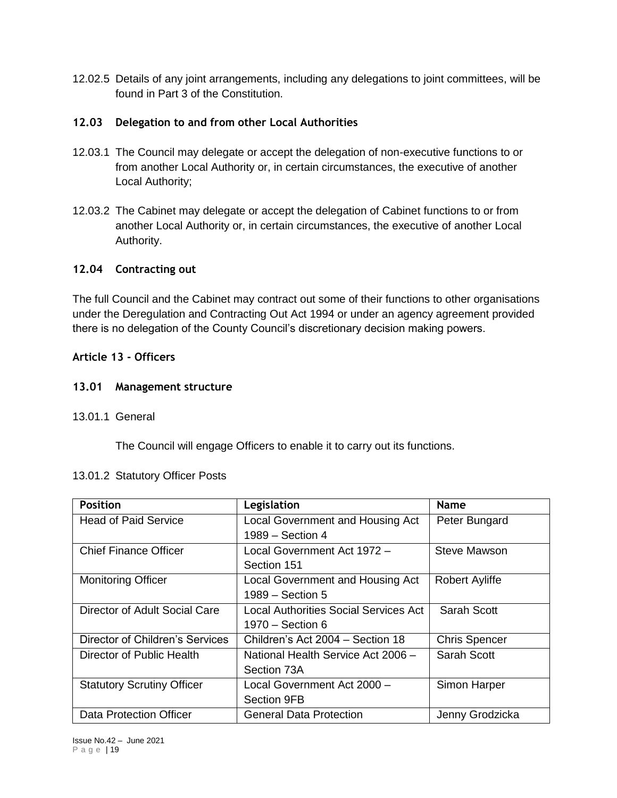12.02.5 Details of any joint arrangements, including any delegations to joint committees, will be found in Part 3 of the Constitution.

#### **12.03 Delegation to and from other Local Authorities**

- 12.03.1 The Council may delegate or accept the delegation of non-executive functions to or from another Local Authority or, in certain circumstances, the executive of another Local Authority;
- 12.03.2 The Cabinet may delegate or accept the delegation of Cabinet functions to or from another Local Authority or, in certain circumstances, the executive of another Local Authority.

#### **12.04 Contracting out**

The full Council and the Cabinet may contract out some of their functions to other organisations under the Deregulation and Contracting Out Act 1994 or under an agency agreement provided there is no delegation of the County Council's discretionary decision making powers.

#### **Article 13 - Officers**

#### **13.01 Management structure**

13.01.1 General

The Council will engage Officers to enable it to carry out its functions.

#### 13.01.2 Statutory Officer Posts

| <b>Position</b>                   | Legislation                           | Name                  |
|-----------------------------------|---------------------------------------|-----------------------|
| <b>Head of Paid Service</b>       | Local Government and Housing Act      | Peter Bungard         |
|                                   | 1989 - Section 4                      |                       |
| <b>Chief Finance Officer</b>      | Local Government Act 1972 -           | <b>Steve Mawson</b>   |
|                                   | Section 151                           |                       |
| <b>Monitoring Officer</b>         | Local Government and Housing Act      | <b>Robert Ayliffe</b> |
|                                   | 1989 – Section 5                      |                       |
| Director of Adult Social Care     | Local Authorities Social Services Act | Sarah Scott           |
|                                   | 1970 – Section 6                      |                       |
| Director of Children's Services   | Children's Act 2004 - Section 18      | <b>Chris Spencer</b>  |
| Director of Public Health         | National Health Service Act 2006 -    | Sarah Scott           |
|                                   | Section 73A                           |                       |
| <b>Statutory Scrutiny Officer</b> | Local Government Act 2000 -           | Simon Harper          |
|                                   | <b>Section 9FB</b>                    |                       |
| Data Protection Officer           | <b>General Data Protection</b>        | Jenny Grodzicka       |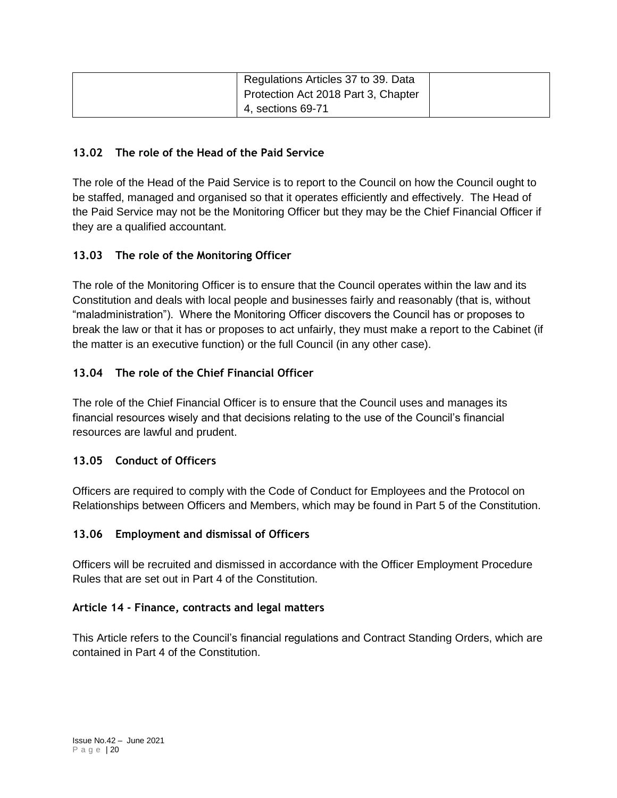| Regulations Articles 37 to 39. Data<br>Protection Act 2018 Part 3, Chapter |  |
|----------------------------------------------------------------------------|--|
| 4, sections 69-71                                                          |  |

## **13.02 The role of the Head of the Paid Service**

The role of the Head of the Paid Service is to report to the Council on how the Council ought to be staffed, managed and organised so that it operates efficiently and effectively. The Head of the Paid Service may not be the Monitoring Officer but they may be the Chief Financial Officer if they are a qualified accountant.

# **13.03 The role of the Monitoring Officer**

The role of the Monitoring Officer is to ensure that the Council operates within the law and its Constitution and deals with local people and businesses fairly and reasonably (that is, without "maladministration"). Where the Monitoring Officer discovers the Council has or proposes to break the law or that it has or proposes to act unfairly, they must make a report to the Cabinet (if the matter is an executive function) or the full Council (in any other case).

# **13.04 The role of the Chief Financial Officer**

The role of the Chief Financial Officer is to ensure that the Council uses and manages its financial resources wisely and that decisions relating to the use of the Council's financial resources are lawful and prudent.

## **13.05 Conduct of Officers**

Officers are required to comply with the Code of Conduct for Employees and the Protocol on Relationships between Officers and Members, which may be found in Part 5 of the Constitution.

## **13.06 Employment and dismissal of Officers**

Officers will be recruited and dismissed in accordance with the Officer Employment Procedure Rules that are set out in Part 4 of the Constitution.

#### **Article 14 - Finance, contracts and legal matters**

This Article refers to the Council's financial regulations and Contract Standing Orders, which are contained in Part 4 of the Constitution.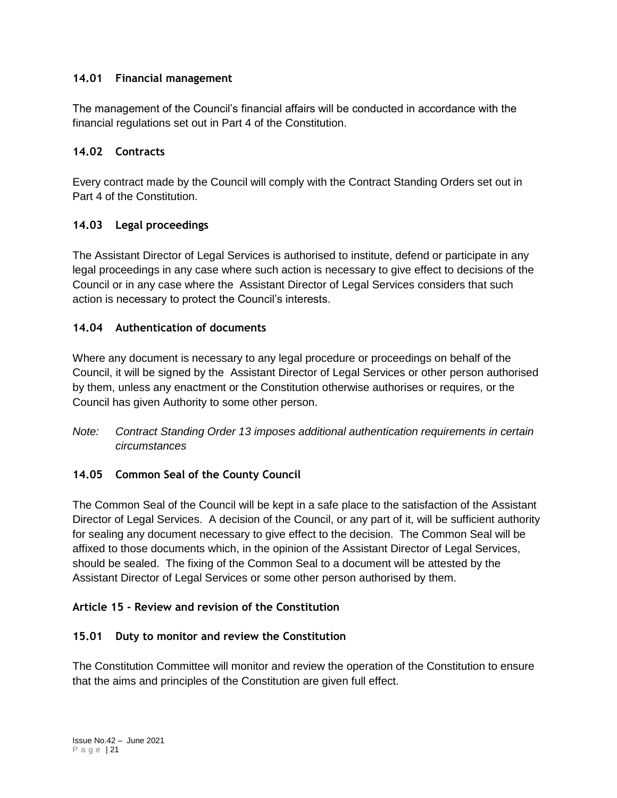# **14.01 Financial management**

The management of the Council's financial affairs will be conducted in accordance with the financial regulations set out in Part 4 of the Constitution.

# **14.02 Contracts**

Every contract made by the Council will comply with the Contract Standing Orders set out in Part 4 of the Constitution.

# **14.03 Legal proceedings**

The Assistant Director of Legal Services is authorised to institute, defend or participate in any legal proceedings in any case where such action is necessary to give effect to decisions of the Council or in any case where the Assistant Director of Legal Services considers that such action is necessary to protect the Council's interests.

# **14.04 Authentication of documents**

Where any document is necessary to any legal procedure or proceedings on behalf of the Council, it will be signed by the Assistant Director of Legal Services or other person authorised by them, unless any enactment or the Constitution otherwise authorises or requires, or the Council has given Authority to some other person.

*Note: Contract Standing Order 13 imposes additional authentication requirements in certain circumstances*

# **14.05 Common Seal of the County Council**

The Common Seal of the Council will be kept in a safe place to the satisfaction of the Assistant Director of Legal Services. A decision of the Council, or any part of it, will be sufficient authority for sealing any document necessary to give effect to the decision. The Common Seal will be affixed to those documents which, in the opinion of the Assistant Director of Legal Services, should be sealed. The fixing of the Common Seal to a document will be attested by the Assistant Director of Legal Services or some other person authorised by them.

# **Article 15 - Review and revision of the Constitution**

## **15.01 Duty to monitor and review the Constitution**

The Constitution Committee will monitor and review the operation of the Constitution to ensure that the aims and principles of the Constitution are given full effect.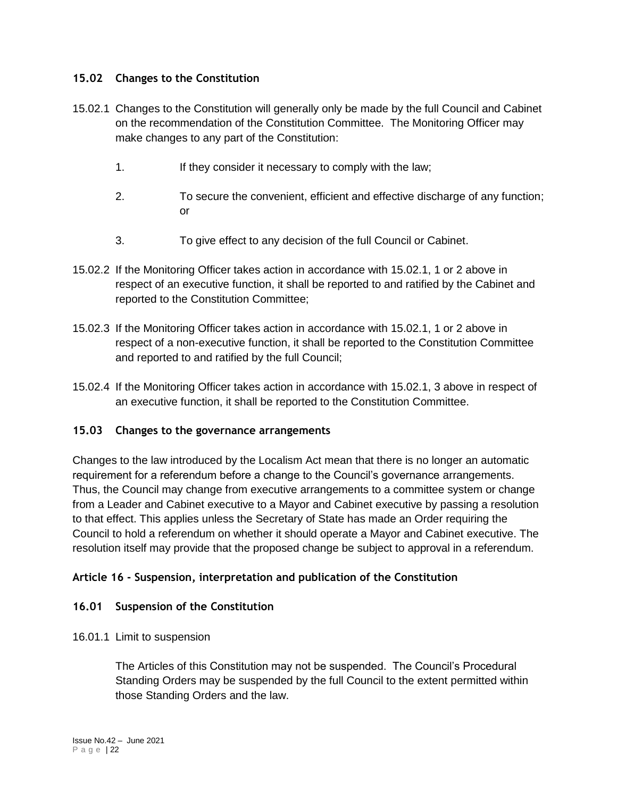## **15.02 Changes to the Constitution**

- 15.02.1 Changes to the Constitution will generally only be made by the full Council and Cabinet on the recommendation of the Constitution Committee. The Monitoring Officer may make changes to any part of the Constitution:
	- 1. If they consider it necessary to comply with the law;
	- 2. To secure the convenient, efficient and effective discharge of any function; or
	- 3. To give effect to any decision of the full Council or Cabinet.
- 15.02.2 If the Monitoring Officer takes action in accordance with 15.02.1, 1 or 2 above in respect of an executive function, it shall be reported to and ratified by the Cabinet and reported to the Constitution Committee;
- 15.02.3 If the Monitoring Officer takes action in accordance with 15.02.1, 1 or 2 above in respect of a non-executive function, it shall be reported to the Constitution Committee and reported to and ratified by the full Council;
- 15.02.4 If the Monitoring Officer takes action in accordance with 15.02.1, 3 above in respect of an executive function, it shall be reported to the Constitution Committee.

#### **15.03 Changes to the governance arrangements**

Changes to the law introduced by the Localism Act mean that there is no longer an automatic requirement for a referendum before a change to the Council's governance arrangements. Thus, the Council may change from executive arrangements to a committee system or change from a Leader and Cabinet executive to a Mayor and Cabinet executive by passing a resolution to that effect. This applies unless the Secretary of State has made an Order requiring the Council to hold a referendum on whether it should operate a Mayor and Cabinet executive. The resolution itself may provide that the proposed change be subject to approval in a referendum.

#### **Article 16 - Suspension, interpretation and publication of the Constitution**

#### **16.01 Suspension of the Constitution**

16.01.1 Limit to suspension

The Articles of this Constitution may not be suspended. The Council's Procedural Standing Orders may be suspended by the full Council to the extent permitted within those Standing Orders and the law.